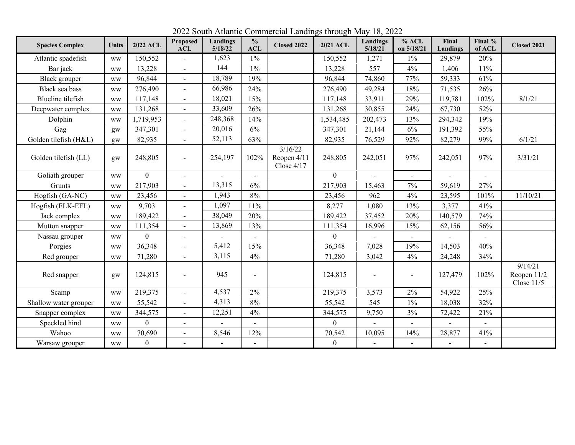**Species Complex Units <sup>2022</sup> ACL Proposed ACL Landings 5/18/22 % ACL Closed 2022 <sup>2021</sup> ACL Landings 5/18/21 % ACL on 5/18/21 Final Landings Final % of ACL Closed 2021** Atlantic spadefish | ww | 150,552 | - | 1,623 | 1% | 196 | 150,552 | 1,271 | 1% | 29,879 | 20% Bar jack ww 13,228 - 144 1% 13,228 557 4% 1,406 11% Black grouper | ww | 96,844 | - | 18,789 | 19% | | 96,844 | 74,860 | 77% | 59,333 | 61% Black sea bass www 276,490 - 66,986 24% 24% 276,490 49,284 18% 71,535 26% Blueline tilefish | ww | 117,148 | - | 18,021 | 15% | 117,148 | 33,911 | 29% | 119,781 | 102% | 8/1/21 Deepwater complex ww 131,268 - 33,609 26% 131,268 30,855 24% 67,730 52% Dolphin ww 1,719,953 - 248,368 14% 1,534,485 202,473 13% 294,342 19% Gag 9 | gw | 347,301 | - | 20,016 | 6% | 347,301 | 21,144 | 6% | 191,392 | 55% Golden tilefish (H&L) gw 82,935 - 52,113 63% 82,935 76,529 92% 82,279 99% 6/1/21 Golden tilefish (LL) gw 248,805 - 254,197 102% 3/16/22 Reopen 4/11 Close 4/17 248,805 242,051 97% 242,051 97% 3/31/21 Goliath grouper ww 0 - - - 0 - - - - Grunts 1 ww 217,903 - 13,315 6% 217,903 15,463 7% 59,619 27% Hogfish (GA-NC) ww 23,456 - 1,943 8% 23,456 962 4% 23,595 101% 11/10/21 Hogfish (FLK-EFL) ww 9,703 - 1,097 11% 8,277 1,080 13% 3,377 41% Jack complex ww | 189,422 | - | 38,049 | 20% | 189,422 | 37,452 | 20% | 140,579 | 74% Mutton snapper | ww | 111,354 | - | 13,869 | 13% | 111,354 | 16,996 | 15% | 62,156 | 56% Nassau grouper ww 0 - - - 0 - - - - Porgies | ww | 36,348 | - | 5,412 | 15% | 36,348 | 7,028 | 19% | 14,503 | 40% Red grouper | ww | 71,280 | - | 3,115 | 4% | 71,280 | 3,042 | 4% | 24,248 | 34% Red snapper | gw | 124,815 | - | 945 | - | 124,815 | - | - | 127,479 | 102% 9/14/21 Reopen 11/2 Close 11/5 Scamp | ww | 219,375 | - | 4,537 | 2% | 219,375 | 3,573 | 2% | 54,922 | 25% Shallow water grouper ww 55,542 - 4,313 8% 55,542 545 1% 18,038 32% Snapper complex ww 344,575 - 12,251 4% 344,575 344,575 3,750 3% 72,422 21% Speckled hind ww 0 - - - 0 - - - - Wahoo ww 70,690 - 8,546 12% 70,542 10,095 14% 28,877 41% Warsaw grouper ww 0 - - - 0 - - - -

2022 South Atlantic Commercial Landings through May 18, 2022